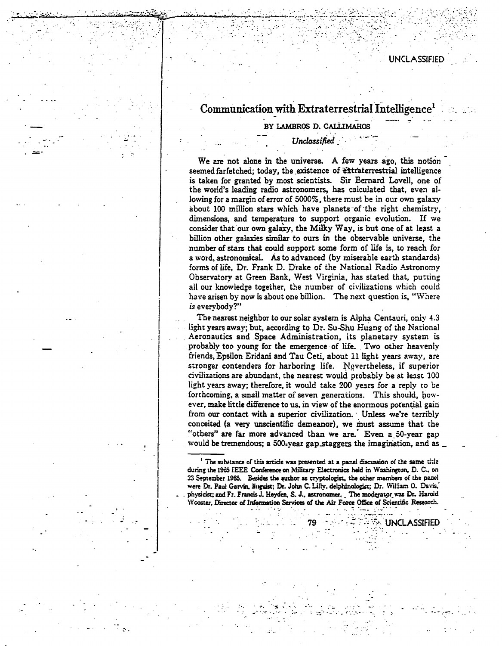# Communication with Extraterrestrial Intelligence<sup>1</sup>

## BY LAMBROS D. CALLIMAHOS

## Unclassified

We are not alone in the universe. A few years ago, this notion seemed farfetched; today, the existence of extraterrestrial intelligence is taken for granted by most scientists. Sir Bernard Lovell, one of the world's leading radio astronomers, has calculated that, even allowing for a margin of error of 5000%, there must be in our own galaxy about 100 million stars which have planets of the right chemistry, dimensions, and temperature to support organic evolution. If we consider that our own galaxy, the Milky Way, is but one of at least a billion other galaxies similar to ours in the observable universe, the number of stars that could support some form of life is, to reach for a word, astronomical. As to advanced (by miserable earth standards) forms of life, Dr. Frank D. Drake of the National Radio Astronomy Observatory at Green Bank, West Virginia, has stated that, putting all our knowledge together, the number of civilizations which could have arisen by now is about one billion. The next question is, "Where is everybody?"

The nearest neighbor to our solar system is Alpha Centauri, only 4.3 light years away: but, according to Dr. Su-Shu Huang of the National Aeronautics and Space Administration, its planetary system is probably too young for the emergence of life. Two other heavenly friends, Epsilon Eridani and Tau Ceti, about 11 light years away, are stronger contenders for harboring life. Nevertheless, if superior civilizations are abundant, the nearest would probably be at least 100 light years away; therefore, it would take 200 years for a reply to be forthcoming, a small matter of seven generations. This should, however, make little difference to us, in view of the enormous potential gain from our contact with a superior civilization. Unless we're terribly conceited (a very unscientific demeanor), we must assume that the "others" are far more advanced than we are. Even a 50-year gap would be tremendous; a 500-year gap staggers the imagination, and as

**TALUNCLASSIFIED** 

<sup>&</sup>lt;sup>1</sup> The substance of this article was presented at a panel discussion of the same title during the 1965 IEEE Conference on Military Electronics held in Washington, D. C., on 23 September 1965. Besides the author as cryptologist, the other members of the panel were Dr. Paul Garvin, linguist; Dr. John C. Lilly, delphinologist; Dr. William O. Davis, physicist; and Fr. Francis J. Heyden, S. J., astronomer. The moderator was Dr. Haroid Wooster, Director of Information Services of the Air Force Office of Scientific Research.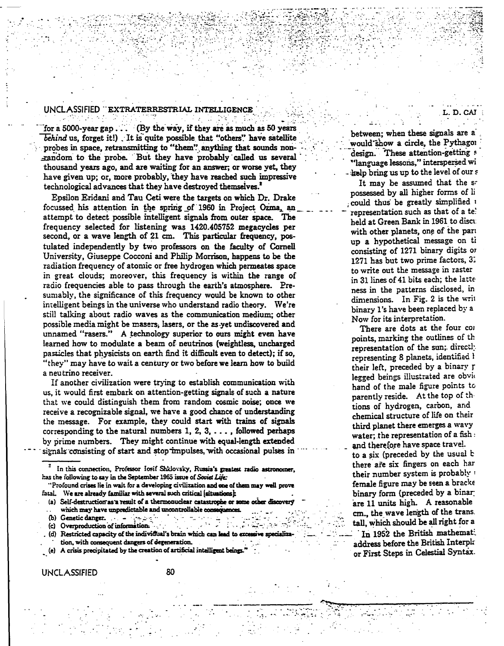#### UNCLASSIFIED "EXTRATERRESTRIAL INTELLIGENCE

for a 5000-year gap ... (By the way, if they are as much as 50 years behind us, forget it!) It is quite possible that "others" have satellite probes in space, retransmitting to "them" anything that sounds nonrandom to the probe. But they have probably called us several thousand years ago, and are waiting for an answer; or worse yet, they have given up; or, more probably, they have reached such impressive technological advances that they have destroyed themselves.<sup>2</sup>

Epsilon Eridani and Tau Ceti were the targets on which Dr. Drake focussed his attention in the spring of 1960 in Project Ozma, an attempt to detect possible intelligent signals from outer space. The frequency selected for listening was 1420.405752 megacycles per second, or a wave length of 21 cm. This particular frequency, postulated independently by two professors on the faculty of Cornell University, Giuseppe Cocconi and Philip Morrison, happens to be the radiation frequency of atomic or free hydrogen which permeates space in great clouds; moreover, this frequency is within the range of radio frequencies able to pass through the earth's atmosphere. Presumably, the significance of this frequency would be known to other intelligent beings in the universe who understand radio theory. We're still talking about radio waves as the communication medium; other possible media might be masers, lasers, or the as yet undiscovered and unnamed "rasers." A technology superior to ours might even have learned how to modulate a beam of neutrinos (weightless, uncharged particles that physicists on earth find it difficult even to detect); if so, "they" may have to wait a century or two before we learn how to build a neutrino receiver.

If another civilization were trying to establish communication with us, it would first embark on attention-getting signals of such a nature that we could distinguish them from random cosmic noise; once we receive a recognizable signal, we have a good chance of understanding the message. For example, they could start with trains of signals corresponding to the natural numbers  $1, 2, 3, \ldots$ , followed perhaps by prime numbers. They might continue with equal-length extended signals consisting of start and stop impulses, with occasional pulses in

"Profound crises lie in wait for a developing civilization and one of them may well prove fatal. We are already familiar with several such critical (situations):

(a) Self-destruction as a result of a thermonuclear catastrophe or some other discovery which may have unpredictable and uncontrollable consequences.

ال المحافظ العام المالية.<br>منابع

- 
- (c) Overproduction of information.
- (d) Restricted capacity of the individual's brain which can lead to excessive specializa

tion, with consequent dangers of degeneration.

(e) A crisis precipitated by the creation of artificial intelligent beings."

between: when these signals are a would show a circle, the Pythagor design. These attention-getting s "language lessons," interspersed wi the bring us up to the level of our s

L.D.CAJ

It may be assumed that the sr possessed by all higher forms of li could thus be greatly simplified a representation such as that of a te! held at Green Bank in 1961 to discu with other planets, one of the part up a hypothetical message on ti consisting of 1271 binary digits or 1271 has but two prime factors, 31 to write out the message in raster in 31 lines of 41 bits each; the latte ness in the patterns disclosed, in dimensions. In Fig. 2 is the writ binary 1's have been replaced by a Now for its interpretation.

There are dots at the four cor points, marking the outlines of th representation of the sun; directly representing 8 planets, identified l their left, preceded by a binary r legged beings illustrated are obvio hand of the male figure points to parently reside. At the top of thtions of hydrogen, carbon, and chemical structure of life on their third planet there emerges a wavy water; the representation of a fish  $:$ and therefore have space travel.

to a six (preceded by the usual b there are six fingers on each har their number system is probably : female figure may be seen a bracke binary form (preceded by a binar are 11 units high. A reasonable cm., the wave length of the trans. tall, which should be all right for a In 1952 the British mathemati address before the British Interpla or First Steps in Celestial Syntax.

In this connection, Professor Iosif Shklovsky, Russia's greatest radio astronomer, has the following to say in the September 1965 issue of Soviet Life: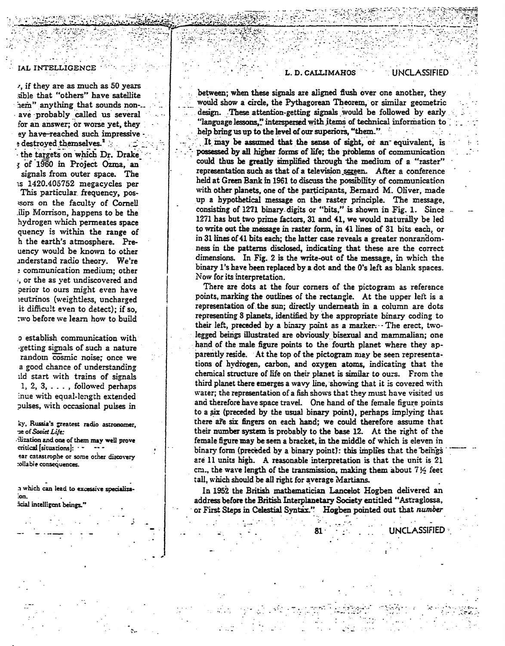#### IAL INTELLIGENCE

v, if they are as much as 50 years sible that "others" have satellite hem" anything that sounds nonave probably called us several for an answer; or worse yet, they ey have-reached such impressive e destroyed themselves.<sup>2</sup> the targets on which Dr. Drake of 1960 in Project Ozma, an signals from outer space. The 15 1420.405752 megacycles per This particular frequency, possors on the faculty of Cornell ilip Morrison, happens to be the hydrogen which permeates space quency is within the range of h the earth's atmosphere. Preuency would be known to other inderstand radio theory. We're : communication medium; other , or the as vet undiscovered and perior to ours might even have reutrinos (weightless, uncharged it difficult even to detect); if so, two before we learn how to build

o establish communication with getting signals of such a nature random cosmic noise: once we a good chance of understanding ild start with trains of signals 1, 2, 3,  $\dots$ , followed perhaps inue with equal-length extended pulses, with occasional pulses in

ky, Russia's greatest radio astronomer, ue of Soviet Life: -ilization and one of them may well prove critical [situations]:  $$ ear catastrophe or some other discovery rollabie consequences.

a which can lead to excessive specializaion.

icial intelligent beings.

#### L. D. CALLIMAHOS

**UNCLASSIFIED** 

**UNCLASSIFIED** 

between; when these signals are aligned flush over one another, they would show a circle, the Pythagorean Theorem, or similar geometric design. These attention-getting signals would be followed by early "language lessons," interspersed with items of technical information to help bring us up to the level of our superiors, "them." **A** 

It may be assumed that the sense of sight, or an equivalent, is possessed by all higher forms of life; the problems of communication could thus be greatly simplified through the medium of a "raster" representation such as that of a television screen. After a conference held at Green Bank in 1961 to discuss the possibility of communication with other planets, one of the participants, Bernard M. Oliver, made up a hypothetical message on the raster principle. The message, consisting of 1271 binary digits or "bits," is shown in Fig. 1. Since 1271 has but two prime factors, 31 and 41, we would naturally be led to write out the message in raster form, in 41 lines of 31 bits each, or in 31 lines of 41 bits each; the latter case reveals a greater nonrandomness in the patterns disclosed, indicating that these are the correct dimensions. In Fig. 2 is the write-out of the message, in which the binary 1's have been replaced by a dot and the 0's left as blank spaces. Now for its interpretation.

There are dots at the four corners of the pictogram as reference points, marking the outlines of the rectangle. At the upper left is a representation of the sun; directly underneath in a column are dots representing 8 planets, identified by the appropriate binary coding to their left, preceded by a binary point as a marker. The erect, twolegged beings illustrated are obviously bisexual and mammalian; one hand of the male figure points to the fourth planet where they apparently reside. At the top of the pictogram may be seen representations of hydrogen, carbon, and oxygen atoms, indicating that the chemical structure of life on their planet is similar to ours. From the third planet there emerges a wavy line, showing that it is covered with water; the representation of a fish shows that they must have visited us and therefore have space travel. One hand of the female figure points to a six (preceded by the usual binary point), perhaps implying that there are six fingers on each hand; we could therefore assume that their number system is probably to the base 12. At the right of the female figure may be seen a bracket, in the middle of which is eleven in binary form (preceded by a binary point): this implies that the beings are 11 units high. A reasonable interpretation is that the unit is 21 cm., the wave length of the transmission, making them about  $7\frac{1}{2}$  feet tall, which should be all right for average Martians.

In 1952 the British mathematician Lancelot Hogben delivered an address before the British Interplanetary Society entitled "Astraglossa, or First Steps in Celestial Syntax." Hogben pointed out that number

81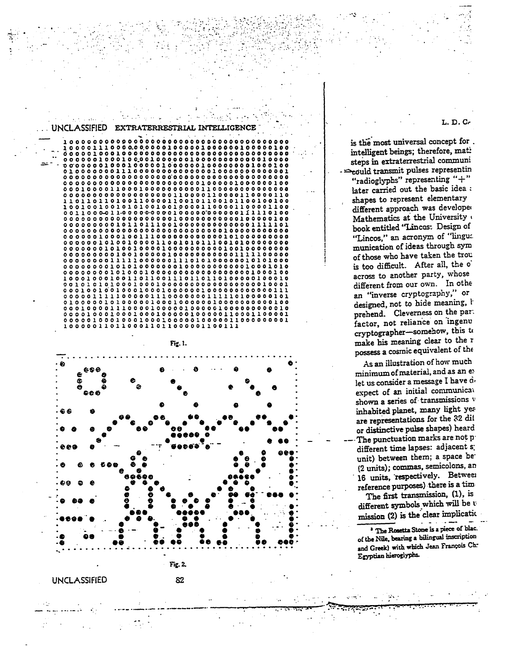L. D. c,.

.  $\sim$   $\sim$ 

is the most universal concept for. intelligent beings; therefore, mat! steps in extraterrestrial communi - => eould transmit pulses representin "radioglyphs" representing "+" later carried out the basic idea : shapes to represent elementary different approach was developed Mathematics at the University • book entitled "Lincas: Design of "Lincos," an acronym of "lingua munication of ideas through syro of those who have taken the trou is too difficult. After all, the o across to another party, whose different from our own. In othe an "inverse cryptography," *or*  designed, not to hide meaning, I prehend. Cleverness on the par: factor, not reliance on ingenu cryptographer-somehow, this to make his meaning clear to the r possess a cosmic equivalent of the

' *··.:.·* ·~

As an illustration of how much minimum of material, and as an ex let us consider a message I have d. expect of an initial communical shown a series of transmissions v inhabited planet, many light yes are representations for the 32 dit or distinctive pulse shapes) heard -The punctuation marks are not p different time lapses: adjacent s: unit) between them; a space be {2 units); commas, semicolons, an 16 units, respectively. Between . . reference purposes) there is a tim The first transmission, (1), is different symbols which will be u  $\frac{1}{2}$  is the clear implication

<sup>3</sup> The Rosetta Stone is a piece of blac. of the Nile, bearing a bilingual inscription and Greek) with which Jean François Ch-Egyptian hieroglyphs.

:~· ...



UNCLASSIFIED EXTRATERRESTRIAL INTELLIGENCE

. ~ . lOOOOOOOOOOOOOOOOOOOOOOOOOOOOOOOOOOOOOOO lOOOOlllOOO~O~OOOOlOOOOOlOOOOOOlOOOOOlOO

0000010001000000000000000000000000000000 00000010.0010~001000000100000000000010000 -~uooooo10001000001~000001000000001000100 *0100000001110000000000000010000000000001*  000000000000000000•000000000000~00000000 0000000000000000000000001000001000000100

. . . ... . ~ .. ~ -.. . :. . .- <sup>~</sup>... :. . .· .

. ... : ·> ..... ~-·~.·. . . . -. . .. " ....

, .

. *·-:·* ... *:.* ·:. . . \_·:·.·.·:~.:>\_· .. • ... ·.·!·:.·.: .. ' .. • .• > ...7 ..... -•• :-~\_: .:.:· ..... •• ·!:\_.··. . :·\_.· ... ; ..... ~ :.::::· .. ::· - ... . . :-· .. ·· ........ ·. -:·; .-··· - . . .-: . -~··: \_: ·. ;. · . .:: .. · ~-

*....* •: . .

UNCLASSIFIED 82

-~·· ..

Fig. 2.

- ··-· ····-··· .. . ··-- ·-··-·----------· ---------.-~·-. "'·.-=--.-~\ ... ·..... \_ .... ·;\_\_\_ . .--·: ~.,;.:·;;;!..-..,\_ ... \_. \_; .. ·- ... · '.·;·--· ·'· •....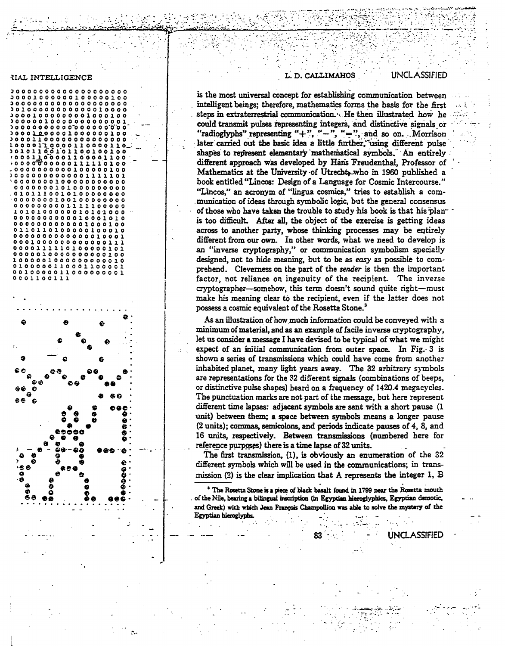#### **RIAL INTELLIGENCE**



#### L. D. CALLIMAHOS

#### **UNCLASSIFIED**

is the most universal concept for establishing communication between intelligent beings; therefore, mathematics forms the basis for the first steps in extraterrestrial communication. He then illustrated how he could transmit pulses representing integers, and distinctive signals or "radioglyphs" representing "+", "-", "=", and so on. Morrison later carried out the basic idea a little further, using different pulse shapes to represent elementary mathematical symbols. An entirely different approach was developed by Hans Freudenthal, Professor of Mathematics at the University of Utrecht, who in 1960 published a book entitled "Lincos: Design of a Language for Cosmic Intercourse." "Lincos," an acronym of "lingua cosmica," tries to establish a communication of ideas through symbolic logic, but the general consensus of those who have taken the trouble to study his book is that his planis too difficult. After all, the object of the exercise is getting ideas across to another party, whose thinking processes may be entirely different from our own. In other words, what we need to develop is an "inverse cryptography," or communication symbolism specially designed, not to hide meaning, but to be as easy as possible to comprehend. Cleverness on the part of the sender is then the important factor, not reliance on ingenuity of the recipient. The inverse cryptographer-somehow, this term doesn't sound quite right-must make his meaning clear to the recipient, even if the latter does not possess a cosmic equivalent of the Rosetta Stone.<sup>3</sup>

As an illustration of how much information could be conveyed with a minimum of material, and as an example of facile inverse cryptography, let us consider a message I have devised to be typical of what we might expect of an initial communication from outer space. In Fig. 3 is shown a series of transmissions which could have come from another inhabited planet, many light years away. The 32 arbitrary symbols are representations for the 32 different signals (combinations of beeps, or distinctive pulse shapes) heard on a frequency of 1420.4 megacycles. The punctuation marks are not part of the message, but here represent different time lapses: adjacent symbols are sent with a short pause (1) unit) between them; a space between symbols means a longer pause (2 units); commas, semicolons, and periods indicate pauses of 4, 8, and 16 units, respectively. Between transmissions (numbered here for reference purposes) there is a time lapse of 32 units.

The first transmission,  $(1)$ , is obviously an enumeration of the 32 different symbols which will be used in the communications; in transmission (2) is the clear implication that A represents the integer 1, B

<sup>3</sup> The Rosetta Stone is a piece of black basalt found in 1799 near the Rosetta mouth of the Nile, bearing a bilingual inscription (in Egyptian hieroglyphics, Egyptian demotic, and Greek) with which Jean François Champollion was able to solve the mystery of the Egyptian hieroglyphs.

**UNCLASSIFIED**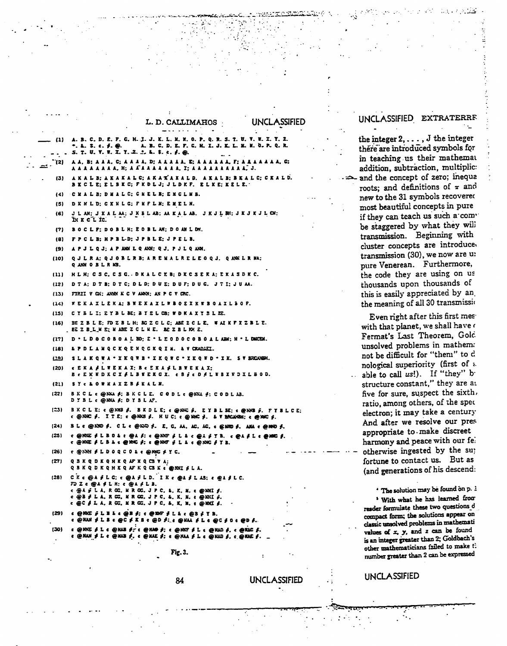|                    | u. D. Cumminiuud<br>UI ILLI<br>ハウンハイルレ<br>المنقلب المتسابسة<br>$\sim$                                                                                                                                                                                                                                                                                                                                     |
|--------------------|-----------------------------------------------------------------------------------------------------------------------------------------------------------------------------------------------------------------------------------------------------------------------------------------------------------------------------------------------------------------------------------------------------------|
| - (1)              | A. B. C. D. E. F. G. H. I. J. K. L. M. X. O. P. Q. R. S. T. U. V. W. X. Y. Z.<br>S. T. U. Y. W. X. Y. Z.  L. S. t. f. @.                                                                                                                                                                                                                                                                                  |
| ۰.,<br>(2)         | A A, B; A A A, C; A A A A, D; A A A A A A, E; A A A A, A, A, A, A, G;<br>8 A A A A A A A, H; A A A A A A A A A A , I; A A A A A A A A A A A . J.                                                                                                                                                                                                                                                          |
| (3)                | AKAL B: AKAKAL C; AKAKAKAL D. AKAL B: BKAL C: CKAL D.<br>BKCLE: ELBKC: FKDLJ: JLDKF. ELKE: KELE. *                                                                                                                                                                                                                                                                                                        |
| (4)                | C X A L B: D M A L C: G X E L B: E X G L M B.                                                                                                                                                                                                                                                                                                                                                             |
| (5)                | D K N L D: C K N L G: F M F L N: E M E L N.                                                                                                                                                                                                                                                                                                                                                               |
| (6)                | J L AN; J K A L AA; J K B L AB; AA K A L AB. J K J L BN; J K J K J L CN;<br>IN X C L IC.                                                                                                                                                                                                                                                                                                                  |
| (7)                | BOCLF: DOBLH: EOBLAN: DOANLDM.                                                                                                                                                                                                                                                                                                                                                                            |
| (8)                | FPCLB: HPBLD: JPBLE: JPELB.                                                                                                                                                                                                                                                                                                                                                                               |
| (9)                | APJLQJ; APANILQANI: QJ, PJLQANI.                                                                                                                                                                                                                                                                                                                                                                          |
| (10)               | Q J L R A; Q J O B L R B; A R E M A L R E L E O Q J. Q ANK L R NA;<br>Q ANN O B L R NB.                                                                                                                                                                                                                                                                                                                   |
| (11)               | HLH: CSC. CSG. DKALCEB: DKCSEKA: EKASDKC.                                                                                                                                                                                                                                                                                                                                                                 |
| (12)               | DTA: DTB: DTC: DLD: DUE: DUF: DUG. JTI: JUAA.                                                                                                                                                                                                                                                                                                                                                             |
| (13)               | FIRIT V GH; ANN K C V ANN; AN P C V CRC.                                                                                                                                                                                                                                                                                                                                                                  |
| (14)               | FEKAXLEKA: BFEKAXLFBOEXKFBOAXLBOF.                                                                                                                                                                                                                                                                                                                                                                        |
| (15)               | CYBLI: 2YBL BE; BYEL CB; WDKAXYSL EE.                                                                                                                                                                                                                                                                                                                                                                     |
| (16)               | BE Z B L E; FD Z B L H; BG Z C L C; ABE Z C L E. W AI K F X Z B L E.<br><b>EE Z B_L_M E; M ABE Z C L M E. BE Z B L KM E.</b>                                                                                                                                                                                                                                                                              |
| (17)               | D . L D O C O B O A L BO; E . L E O D O C O B O A L ABN; H . L DACEN.                                                                                                                                                                                                                                                                                                                                     |
| (18)               | L P D L A N Q C K Q E N Q G K Q I M. L V CRADAZI.                                                                                                                                                                                                                                                                                                                                                         |
| ലാ                 | SLAKQWA * XKQWB * XKQWC * XKQWD * XX. SVBRCAGGH.                                                                                                                                                                                                                                                                                                                                                          |
| (20)               | <b>CEKA FLUEKAX: BCEKA FLBUEKAX:</b><br>B e E K W D K C X & L B W E K G X. e B 2 e D A L W B X W D X L B 0 D.                                                                                                                                                                                                                                                                                             |
| (21)               | SY < LO WHAXZB FKALN.                                                                                                                                                                                                                                                                                                                                                                                     |
| (22)               | B K C L c @ NA A: B K C L E. C O D L c @ NA 4: C O D L AB.<br>DYBL < @RKL f: DYBL AF.                                                                                                                                                                                                                                                                                                                     |
| [23]               | B K C L E: « @ XNB \$. B K D L E; « @ XNC \$. E Y B L SE; « @ XNB \$. P Y B L C E;<br>c @ NNC #. IT E: c @ NNB #. HUC: c @ NNC #. & T BACANEM: c @ NNC #.                                                                                                                                                                                                                                                 |
| (24)               | BL c@ 1210 ∮. CL c@ 1210 ∮. E, C, AA, AC, AC, c@ 1210 ∮. ANA c@ 1410 ∮.                                                                                                                                                                                                                                                                                                                                   |
| (25)               | $\epsilon$ @1962 1 L B O & t @A f: c @1967 1 L & c @A f Y B. c @A f L t @1060 f.<br>t @NAE # L B & t @NAC #: t @NAF # L & t @NAC # Y B.                                                                                                                                                                                                                                                                   |
| (26)               | t @ XXX ≸ L D O Q C O L t @ MNC ∮ Y C.                                                                                                                                                                                                                                                                                                                                                                    |
| (27)               | Q S K Q D K Q H K Q AF K Q C S V A;<br>Q B K Q D K Q H K Q AF K Q C3 K c @ XXI \$ L A.                                                                                                                                                                                                                                                                                                                    |
| (28)               | $C$ K c @ A $\neq$ L C; c @ A $\neq$ L D. I K c @ A $\neq$ L A3; c @ A $\neq$ L C.<br>$FDZ \in @A \nsubseteq L H; c @A \nsubseteq L B.$<br>c @ A pī L A, R GC, M R GC, J P C, E, K, M, c @ NAI f.<br>$\epsilon$ @ B $\neq$ L A, R G;, M R G;, J P C, &, K, M, $\epsilon$ @ KKI $\hat{\epsilon}$ .<br>$c \odot c \neq L$ $A$ , $R$ $C$ C, $R$ $C$ C, $J$ $P$ C, $E$ , $X$ , $H$ , $c \odot R$ $R$ C, $f$ . |
| (29)               | $\epsilon$ @ NGC $\beta$ L B L $\epsilon$ @ B $\beta$ ; $\epsilon$ @ NGC $\beta$ L L $\epsilon$ @ B $\beta$ Y B.<br>$\epsilon$ @ NAN $\neq$ L B $\epsilon$ @ C $\neq$ K B $\epsilon$ @ D $\neq$ . @ NAA $\neq$ L $\epsilon$ @ C $\neq$ O $\epsilon$ @ D $\neq$ .                                                                                                                                          |
| <b><i>PEAL</i></b> | $\sim$ $\sim$ $\sim$<br><b><i>ETA CHIP.</i></b><br>a an A<br>.                                                                                                                                                                                                                                                                                                                                            |

### UNCLASSIFIED EXTRATERRE

the integer  $2, \ldots, J$  the integer there are introduced symbols for in teaching us their mathemat addition, subtraction, multiplic: and the concept of zero; inequa roots; and definitions of  $\pi$  and new to the 31 symbols recovered most beautiful concepts in pure if they can teach us such a combe staggered by what they will transmission. Beginning with cluster concepts are introduce. transmission (30), we now are u: pure Venerean. Furthermore, the code they are using on us thousands upon thousands of this is easily appreciated by an the meaning of all 30 transmissio

Even right after this first meswith that planet, we shall have a Fermat's Last Theorem, Gold unsolved problems in mathem: not be difficult for "them" to d nological superiority (first of a . able to call  $us!)$ . If "they" b structure constant," they are as five for sure, suspect the sixth. ratio, among others, of the spec electron; it may take a century And after we resolve our pres appropriate to make discreet harmony and peace with our fel otherwise ingested by the su; fortune to contact us. But as (and generations of his descend:

The solution may be found on p. 1

<sup>3</sup> With what he has learned from reader formulate these two questions d compact form; the solutions appear on classic unsolved problems in mathemati values of  $x$ ,  $y$ , and  $z$  can be found is an integer greater than 2; Goldbach's other mathematicians failed to make th number greater than 2 can be expressed

**UNCLASSIFIED** 

84

Fig. 3.

11 L F

**exufLe** exp*i* 

**UNCLASSIFIED** 

 $.4306, 10$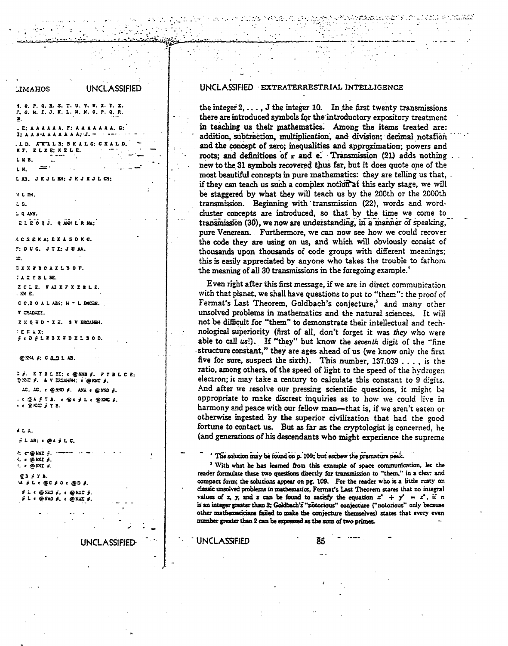### UNCLASSIFIED **JIMAHOS** N. O. P. Q. R. S. T. U. V. W. X. Y. Z. F. G. H. I. J. K. L. M. N. O. P. Q. R. Э.  $E: A \times A \times A \times E: A \times A \times A \times A \times C$  $\mathbf{I} : \mathbf{A} \mathbf{A} \mathbf{A}^{-1} \mathbf{A} \mathbf{A} \mathbf{A} \mathbf{A} \mathbf{A} \mathbf{A}^{-1} \mathbf{J} \cdots$ LD. ATLLE BKALC: CKALD. KF. ELKE: KELE. L M B.  $\sim$ LN.  $\sim$   $\sim$ JKJLEN; JKJKJLCN;  $L$   $\mu$ Y L DN.  $L_5$  $\mathbf{L}$  Q ANN. ELEOQJ. QANN LRNA: **KCSEKA; EKASDKC.**  $F$ ; DUG. JTI; JUAA.  $\mathbf{r}$ **EXKEBOAXLBOF. TAXYBLE.** ZCLE. NAIKFXZBLE. . XX E. CC.BOALABI: H \* L DNCEN. V CRADAZI. XXQ TD . XX. \$ V ERCLHEN. **ERAX:** fepftwaxwoxtsop. **GNN #: CODLAB. 2 g. EYBLED: c @NNB g. FYBLCE:** PNC F. & V ESCARN: C @NNC F.  $AC.$   $AC.$   $c$  @  $A5D$   $f.$   $A5C.$   $c$  @  $N5D.$   $f.$ . € @A £ Y 5. € @A £ L € @MHG <mark>£.</mark> **CENGFYE**  $2L<sub>2</sub>$  $\neq$  L AB:  $\epsilon$  @A  $\neq$  L C.  $C = \bigcirc RNT$   $\downarrow$  $4. c 36$  NKI  $6.$  $\therefore$   $\in$   $\circledcirc$  NNT  $\neq$ . **63 FY B.**  $\mathcal{A} = \mathcal{L} \leftarrow \oplus \mathcal{C} \neq 0 \leftarrow \oplus \mathcal{D} \neq \mathcal{L}$  $\hat{\mathbf{r}}$  i. (  $\oplus$  XJ)  $\hat{\mathbf{r}}$ , (  $\oplus$  XJC  $\hat{\mathbf{r}}$ .  $i$  ,  $\epsilon$  .  $\delta$  ,  $\epsilon$  ,  $\epsilon$  ,  $\delta$  ,  $\epsilon$  ,  $\epsilon$  ,  $\epsilon$  ,  $\epsilon$  ,  $\epsilon$

**UNCLASSIFIED** 

#### **UNCLASSIFIED EXTRATERRESTRIAL INTELLIGENCE**

the integer  $2, \ldots, J$  the integer 10. In the first twenty transmissions there are introduced symbols for the introductory expository treatment in teaching us their mathematics. Among the items treated are: addition, subtraction, multiplication, and division; decimal notation and the concept of zero; inequalities and approximation; powers and roots; and definitions of  $\pi$  and e. Transmission (21) adds nothing new to the 31 symbols recovered thus far, but it does quote one of the most beautiful concepts in pure mathematics: they are telling us that,. if they can teach us such a complex notion at this early stage, we will be staggered by what they will teach us by the 200th or the 2000th transmission. Beginning with transmission (22), words and wordcluster concepts are introduced, so that by the time we come to transmission (30), we now are understanding, in a manner of speaking, pure Venerean. Furthermore, we can now see how we could recover the code they are using on us, and which will obviously consist of thousands upon thousands of code groups with different meanings; this is easily appreciated by anyone who takes the trouble to fathom the meaning of all 30 transmissions in the foregoing example.<sup>4</sup>

Even right after this first message, if we are in direct communication with that planet, we shall have questions to put to "them": the proof of Fermat's Last Theorem, Goldbach's conjecture.<sup>5</sup> and many other unsolved problems in mathematics and the natural sciences. It will not be difficult for "them" to demonstrate their intellectual and technological superiority (first of all, don't forget it was they who were able to call us!). If "they" but know the seventh digit of the "fine structure constant," they are ages ahead of us (we know only the first five for sure, suspect the sixth). This number, 137.039 . . . . is the ratio, among others, of the speed of light to the speed of the hydrogen electron; it may take a century to calculate this constant to 9 digits. And after we resolve our pressing scientific questions, it might be appropriate to make discreet inquiries as to how we could live in harmony and peace with our fellow man-that is, if we aren't eaten or otherwise ingested by the superior civilization that had the good fortune to contact us. But as far as the cryptologist is concerned, he (and generations of his descendants who might experience the supreme

The solution may be found on p. 109; but eschew the premature peek.

<sup>3</sup> With what he has learned from this example of space communication, let the reader formulate these two questions directly for transmission to "them," in a clear and compact form; the solutions appear on pg. 109. For the reader who is a little rusty on classic unsolved problems in mathematics. Fermat's Last Theorem states that no integral values of x, y, and z can be found to satisfy the equation  $x'' + y' = z'$ , if n is an integer greater than 2; Goldbach's "notorious" conjecture ("notorious" only because other mathematicians failed to make the conjecture themselves) states that every even number greater than 2 can be expressed as the sum of two primes.

**UNCLASSIFIED** 

ጀ‡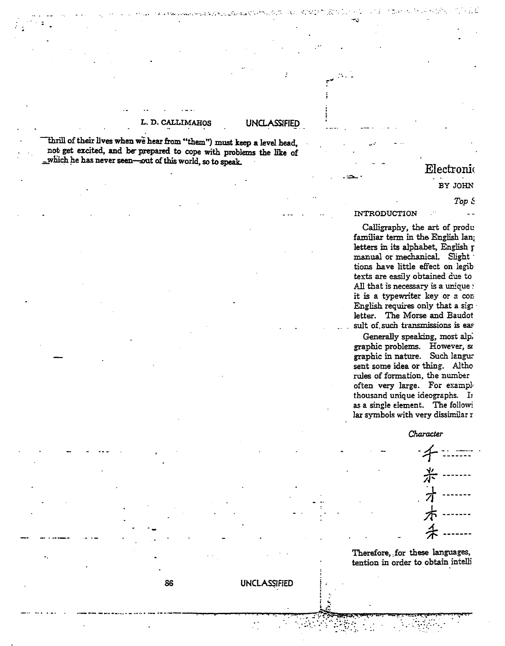## L. D. CALLIMAHOS

## **UNCLASSIFIED**

**UNCLASSIFIED** 

"thrill of their lives when we hear from "them") must keep a level head, not get excited, and be prepared to cope with problems the like of which he has never seen-out of this world, so to speak.

86

## Electronic

BY JOHN

#### $Top \&$

#### **INTRODUCTION**

Calligraphy, the art of produ familiar term in the English lang letters in its alphabet, English r manual or mechanical. Slight tions have little effect on legib texts are easily obtained due to All that is necessary is a unique : it is a typewriter key or a con-English requires only that a signal letter. The Morse and Baudot sult of such transmissions is eas

Generally speaking, most alp. graphic problems. However, so graphic in nature. Such langur sent some idea or thing. Altho rules of formation, the number often very large. For example thousand unique ideographs. In as a single element. The followi lar symbols with very dissimilar r

### Character

Therefore, for these languages, tention in order to obtain intelli